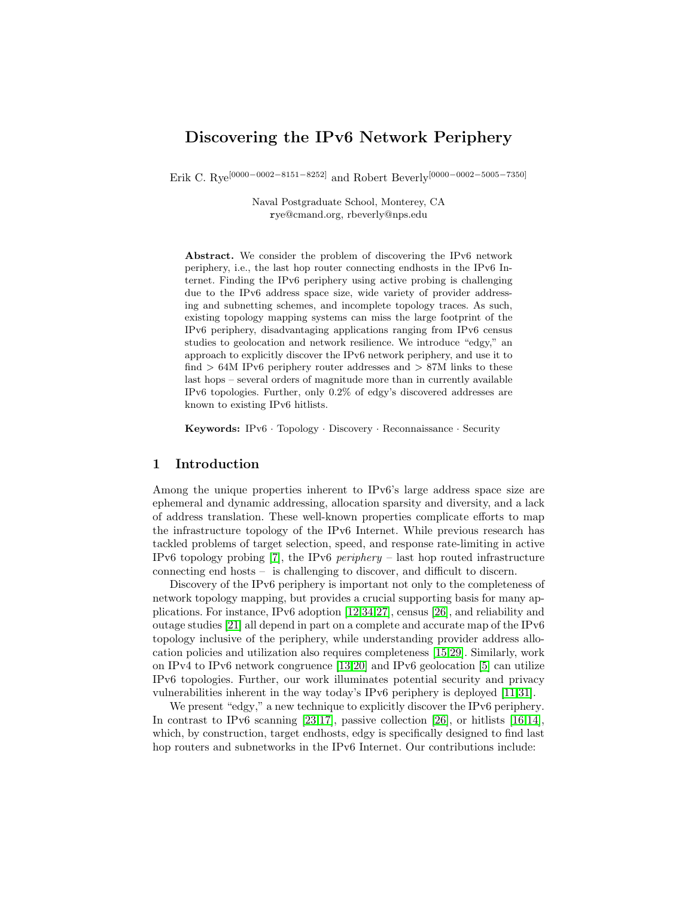# Discovering the IPv6 Network Periphery

Erik C. Rye[0000−0002−8151−8252] and Robert Beverly[0000−0002−5005−7350]

Naval Postgraduate School, Monterey, CA rye@cmand.org, rbeverly@nps.edu

Abstract. We consider the problem of discovering the IPv6 network periphery, i.e., the last hop router connecting endhosts in the IPv6 Internet. Finding the IPv6 periphery using active probing is challenging due to the IPv6 address space size, wide variety of provider addressing and subnetting schemes, and incomplete topology traces. As such, existing topology mapping systems can miss the large footprint of the IPv6 periphery, disadvantaging applications ranging from IPv6 census studies to geolocation and network resilience. We introduce "edgy," an approach to explicitly discover the IPv6 network periphery, and use it to find  $> 64M$  IPv6 periphery router addresses and  $> 87M$  links to these last hops – several orders of magnitude more than in currently available IPv6 topologies. Further, only 0.2% of edgy's discovered addresses are known to existing IPv6 hitlists.

Keywords: IPv6 · Topology · Discovery · Reconnaissance · Security

## 1 Introduction

Among the unique properties inherent to IPv6's large address space size are ephemeral and dynamic addressing, allocation sparsity and diversity, and a lack of address translation. These well-known properties complicate efforts to map the infrastructure topology of the IPv6 Internet. While previous research has tackled problems of target selection, speed, and response rate-limiting in active IPv6 topology probing  $[7]$ , the IPv6 *periphery* – last hop routed infrastructure connecting end hosts – is challenging to discover, and difficult to discern.

Discovery of the IPv6 periphery is important not only to the completeness of network topology mapping, but provides a crucial supporting basis for many applications. For instance, IPv6 adoption [\[12,](#page-13-1)[34](#page-14-0)[,27\]](#page-14-1), census [\[26\]](#page-14-2), and reliability and outage studies [\[21\]](#page-14-3) all depend in part on a complete and accurate map of the IPv6 topology inclusive of the periphery, while understanding provider address allocation policies and utilization also requires completeness [\[15,](#page-13-2)[29\]](#page-14-4). Similarly, work on IPv4 to IPv6 network congruence [\[13,](#page-13-3)[20\]](#page-14-5) and IPv6 geolocation [\[5\]](#page-13-4) can utilize IPv6 topologies. Further, our work illuminates potential security and privacy vulnerabilities inherent in the way today's IPv6 periphery is deployed [\[11,](#page-13-5)[31\]](#page-14-6).

We present "edgy," a new technique to explicitly discover the IPv6 periphery. In contrast to IPv6 scanning [\[23,](#page-14-7)[17\]](#page-14-8), passive collection [\[26\]](#page-14-2), or hitlists  $[16,14]$  $[16,14]$ , which, by construction, target endhosts, edgy is specifically designed to find last hop routers and subnetworks in the IPv6 Internet. Our contributions include: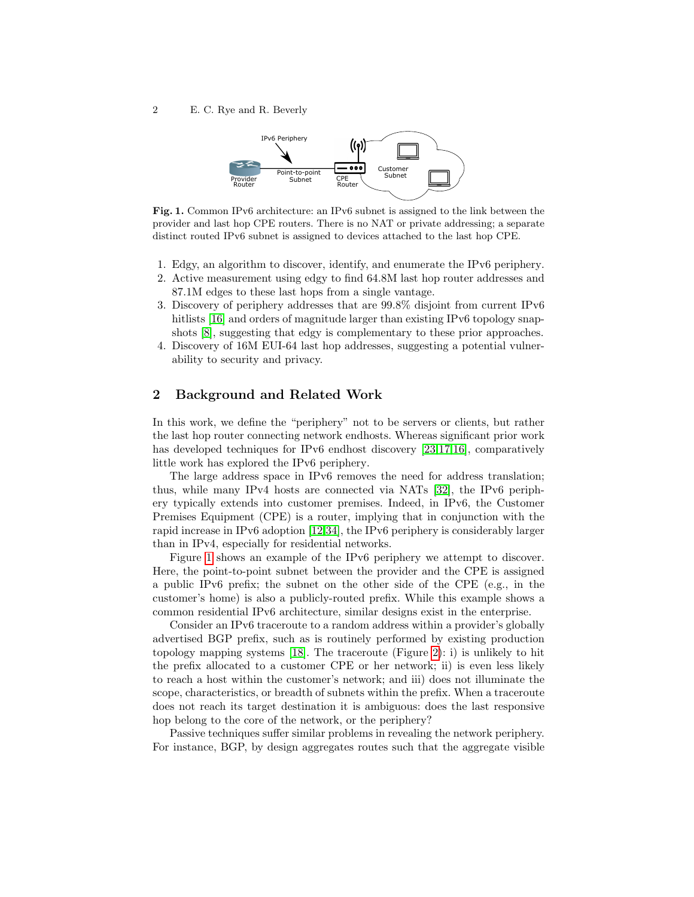<span id="page-1-0"></span>

Fig. 1. Common IPv6 architecture: an IPv6 subnet is assigned to the link between the provider and last hop CPE routers. There is no NAT or private addressing; a separate distinct routed IPv6 subnet is assigned to devices attached to the last hop CPE.

- 1. Edgy, an algorithm to discover, identify, and enumerate the IPv6 periphery.
- 2. Active measurement using edgy to find 64.8M last hop router addresses and 87.1M edges to these last hops from a single vantage.
- 3. Discovery of periphery addresses that are 99.8% disjoint from current IPv6 hitlists [\[16\]](#page-14-9) and orders of magnitude larger than existing IPv6 topology snapshots [\[8\]](#page-13-7), suggesting that edgy is complementary to these prior approaches.
- 4. Discovery of 16M EUI-64 last hop addresses, suggesting a potential vulnerability to security and privacy.

## 2 Background and Related Work

In this work, we define the "periphery" not to be servers or clients, but rather the last hop router connecting network endhosts. Whereas significant prior work has developed techniques for IPv6 endhost discovery [\[23](#page-14-7)[,17,](#page-14-8)[16\]](#page-14-9), comparatively little work has explored the IPv6 periphery.

The large address space in IPv6 removes the need for address translation; thus, while many IPv4 hosts are connected via NATs [\[32\]](#page-14-10), the IPv6 periphery typically extends into customer premises. Indeed, in IPv6, the Customer Premises Equipment (CPE) is a router, implying that in conjunction with the rapid increase in IPv6 adoption [\[12,](#page-13-1)[34\]](#page-14-0), the IPv6 periphery is considerably larger than in IPv4, especially for residential networks.

Figure [1](#page-1-0) shows an example of the IPv6 periphery we attempt to discover. Here, the point-to-point subnet between the provider and the CPE is assigned a public IPv6 prefix; the subnet on the other side of the CPE (e.g., in the customer's home) is also a publicly-routed prefix. While this example shows a common residential IPv6 architecture, similar designs exist in the enterprise.

Consider an IPv6 traceroute to a random address within a provider's globally advertised BGP prefix, such as is routinely performed by existing production topology mapping systems [\[18\]](#page-14-11). The traceroute (Figure [2\)](#page-2-0): i) is unlikely to hit the prefix allocated to a customer CPE or her network; ii) is even less likely to reach a host within the customer's network; and iii) does not illuminate the scope, characteristics, or breadth of subnets within the prefix. When a traceroute does not reach its target destination it is ambiguous: does the last responsive hop belong to the core of the network, or the periphery?

Passive techniques suffer similar problems in revealing the network periphery. For instance, BGP, by design aggregates routes such that the aggregate visible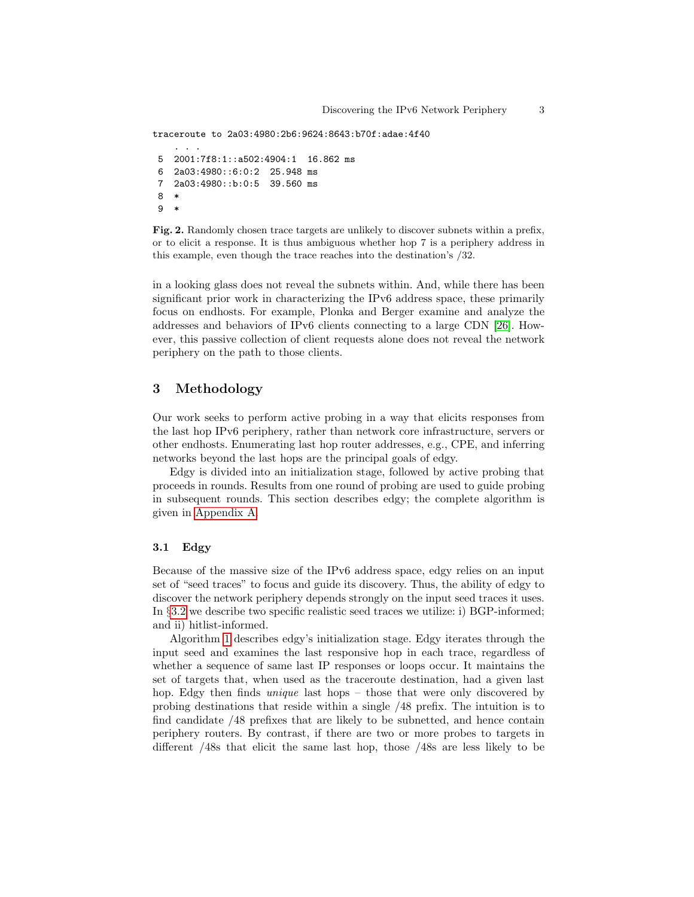```
traceroute to 2a03:4980:2b6:9624:8643:b70f:adae:4f40
    . . .
5 2001:7f8:1::a502:4904:1 16.862 ms
6 2a03:4980::6:0:2 25.948 ms
7 2a03:4980::b:0:5 39.560 ms
8 *
9 *
```
<span id="page-2-0"></span>Fig. 2. Randomly chosen trace targets are unlikely to discover subnets within a prefix, or to elicit a response. It is thus ambiguous whether hop 7 is a periphery address in this example, even though the trace reaches into the destination's /32.

in a looking glass does not reveal the subnets within. And, while there has been significant prior work in characterizing the IPv6 address space, these primarily focus on endhosts. For example, Plonka and Berger examine and analyze the addresses and behaviors of IPv6 clients connecting to a large CDN [\[26\]](#page-14-2). However, this passive collection of client requests alone does not reveal the network periphery on the path to those clients.

# 3 Methodology

Our work seeks to perform active probing in a way that elicits responses from the last hop IPv6 periphery, rather than network core infrastructure, servers or other endhosts. Enumerating last hop router addresses, e.g., CPE, and inferring networks beyond the last hops are the principal goals of edgy.

Edgy is divided into an initialization stage, followed by active probing that proceeds in rounds. Results from one round of probing are used to guide probing in subsequent rounds. This section describes edgy; the complete algorithm is given in [Appendix A.](#page-15-0)

## 3.1 Edgy

Because of the massive size of the IPv6 address space, edgy relies on an input set of "seed traces" to focus and guide its discovery. Thus, the ability of edgy to discover the network periphery depends strongly on the input seed traces it uses. In §[3.2](#page-4-0) we describe two specific realistic seed traces we utilize: i) BGP-informed; and ii) hitlist-informed.

Algorithm [1](#page-15-1) describes edgy's initialization stage. Edgy iterates through the input seed and examines the last responsive hop in each trace, regardless of whether a sequence of same last IP responses or loops occur. It maintains the set of targets that, when used as the traceroute destination, had a given last hop. Edgy then finds *unique* last hops – those that were only discovered by probing destinations that reside within a single /48 prefix. The intuition is to find candidate /48 prefixes that are likely to be subnetted, and hence contain periphery routers. By contrast, if there are two or more probes to targets in different /48s that elicit the same last hop, those /48s are less likely to be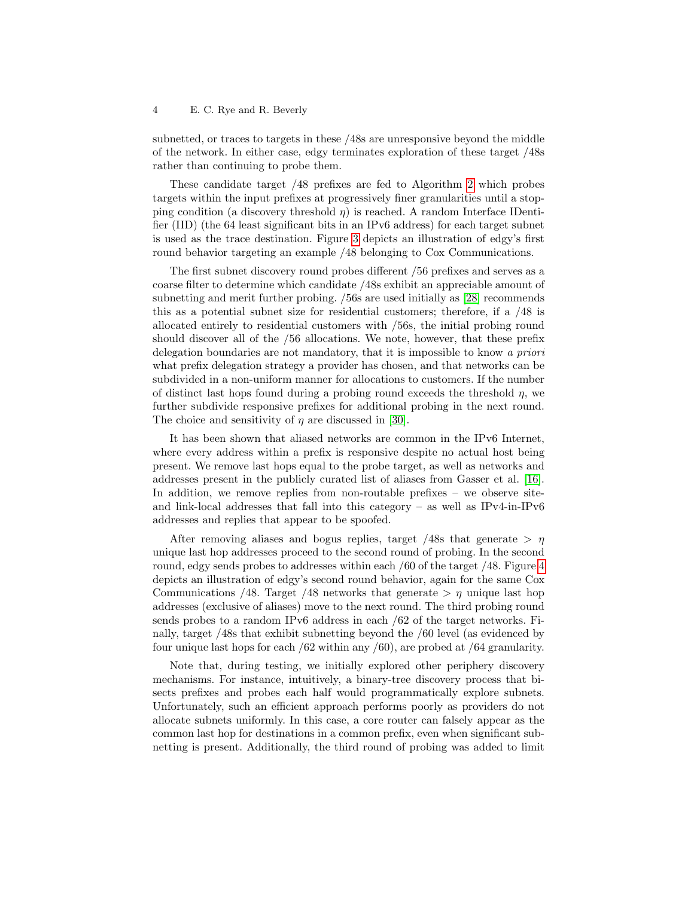subnetted, or traces to targets in these /48s are unresponsive beyond the middle of the network. In either case, edgy terminates exploration of these target /48s rather than continuing to probe them.

These candidate target /48 prefixes are fed to Algorithm [2](#page-15-2) which probes targets within the input prefixes at progressively finer granularities until a stopping condition (a discovery threshold  $\eta$ ) is reached. A random Interface IDentifier (IID) (the 64 least significant bits in an IPv6 address) for each target subnet is used as the trace destination. Figure [3](#page-4-1) depicts an illustration of edgy's first round behavior targeting an example /48 belonging to Cox Communications.

The first subnet discovery round probes different /56 prefixes and serves as a coarse filter to determine which candidate /48s exhibit an appreciable amount of subnetting and merit further probing. /56s are used initially as [\[28\]](#page-14-12) recommends this as a potential subnet size for residential customers; therefore, if a /48 is allocated entirely to residential customers with /56s, the initial probing round should discover all of the /56 allocations. We note, however, that these prefix delegation boundaries are not mandatory, that it is impossible to know a priori what prefix delegation strategy a provider has chosen, and that networks can be subdivided in a non-uniform manner for allocations to customers. If the number of distinct last hops found during a probing round exceeds the threshold  $\eta$ , we further subdivide responsive prefixes for additional probing in the next round. The choice and sensitivity of  $\eta$  are discussed in [\[30\]](#page-14-13).

It has been shown that aliased networks are common in the IPv6 Internet, where every address within a prefix is responsive despite no actual host being present. We remove last hops equal to the probe target, as well as networks and addresses present in the publicly curated list of aliases from Gasser et al. [\[16\]](#page-14-9). In addition, we remove replies from non-routable prefixes – we observe siteand link-local addresses that fall into this category – as well as  $IPv4-in-IPv6$ addresses and replies that appear to be spoofed.

After removing aliases and bogus replies, target /48s that generate  $> \eta$ unique last hop addresses proceed to the second round of probing. In the second round, edgy sends probes to addresses within each /60 of the target /48. Figure [4](#page-4-2) depicts an illustration of edgy's second round behavior, again for the same Cox Communications /48. Target /48 networks that generate  $>\eta$  unique last hop addresses (exclusive of aliases) move to the next round. The third probing round sends probes to a random IPv6 address in each /62 of the target networks. Finally, target /48s that exhibit subnetting beyond the /60 level (as evidenced by four unique last hops for each /62 within any /60), are probed at /64 granularity.

Note that, during testing, we initially explored other periphery discovery mechanisms. For instance, intuitively, a binary-tree discovery process that bisects prefixes and probes each half would programmatically explore subnets. Unfortunately, such an efficient approach performs poorly as providers do not allocate subnets uniformly. In this case, a core router can falsely appear as the common last hop for destinations in a common prefix, even when significant subnetting is present. Additionally, the third round of probing was added to limit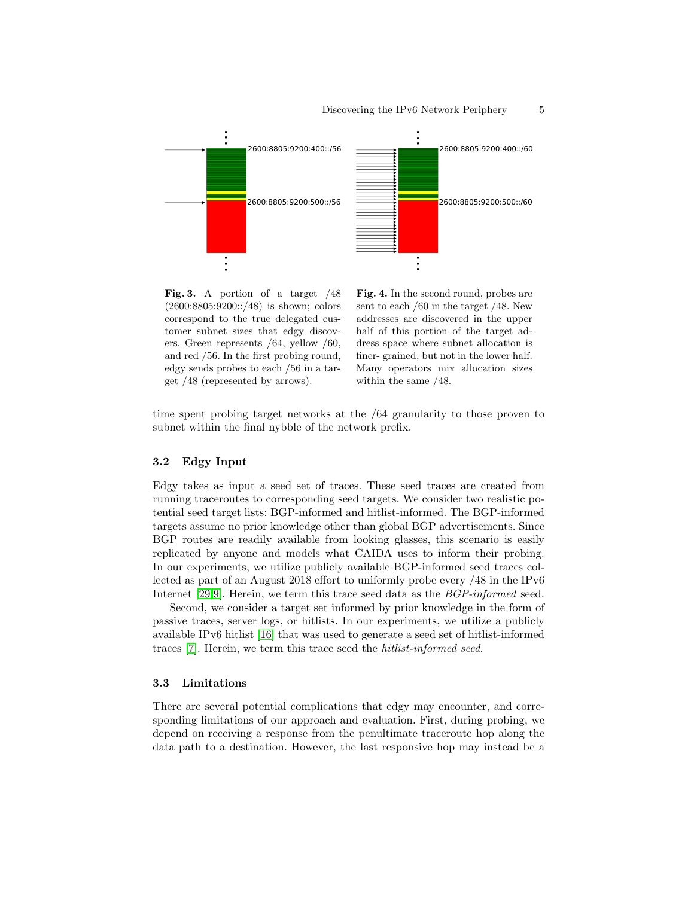

<span id="page-4-1"></span>Fig. 3. A portion of a target  $/48$ (2600:8805:9200::/48) is shown; colors correspond to the true delegated customer subnet sizes that edgy discovers. Green represents /64, yellow /60, and red /56. In the first probing round, edgy sends probes to each /56 in a target /48 (represented by arrows).

<span id="page-4-2"></span>Fig. 4. In the second round, probes are sent to each /60 in the target /48. New addresses are discovered in the upper half of this portion of the target address space where subnet allocation is finer- grained, but not in the lower half. Many operators mix allocation sizes within the same /48.

time spent probing target networks at the /64 granularity to those proven to subnet within the final nybble of the network prefix.

### <span id="page-4-0"></span>3.2 Edgy Input

Edgy takes as input a seed set of traces. These seed traces are created from running traceroutes to corresponding seed targets. We consider two realistic potential seed target lists: BGP-informed and hitlist-informed. The BGP-informed targets assume no prior knowledge other than global BGP advertisements. Since BGP routes are readily available from looking glasses, this scenario is easily replicated by anyone and models what CAIDA uses to inform their probing. In our experiments, we utilize publicly available BGP-informed seed traces collected as part of an August 2018 effort to uniformly probe every /48 in the IPv6 Internet [\[29,](#page-14-4)[9\]](#page-13-8). Herein, we term this trace seed data as the *BGP-informed* seed.

Second, we consider a target set informed by prior knowledge in the form of passive traces, server logs, or hitlists. In our experiments, we utilize a publicly available IPv6 hitlist [\[16\]](#page-14-9) that was used to generate a seed set of hitlist-informed traces [\[7\]](#page-13-0). Herein, we term this trace seed the hitlist-informed seed.

#### 3.3 Limitations

There are several potential complications that edgy may encounter, and corresponding limitations of our approach and evaluation. First, during probing, we depend on receiving a response from the penultimate traceroute hop along the data path to a destination. However, the last responsive hop may instead be a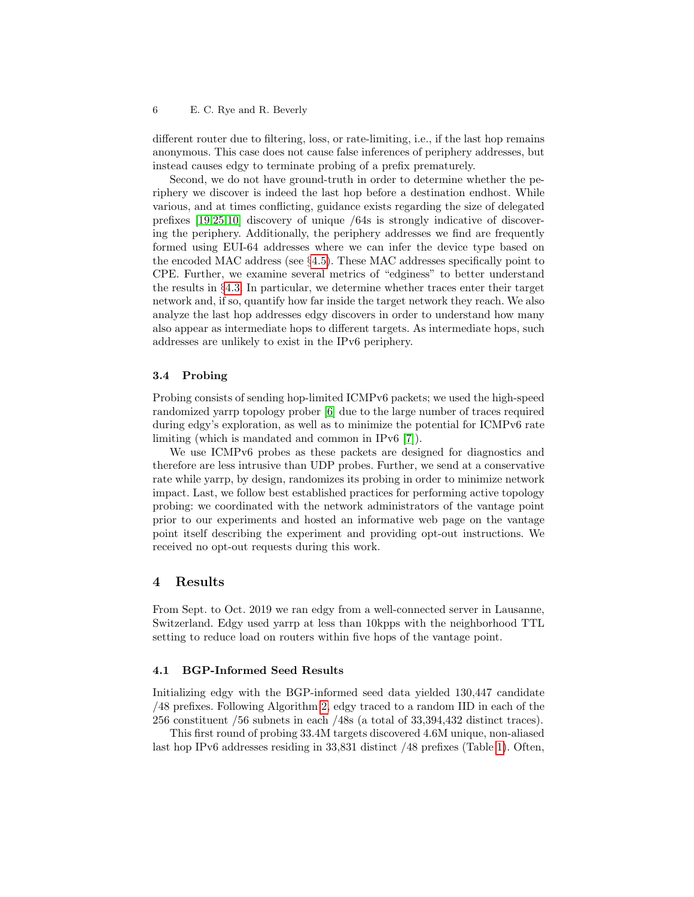different router due to filtering, loss, or rate-limiting, i.e., if the last hop remains anonymous. This case does not cause false inferences of periphery addresses, but instead causes edgy to terminate probing of a prefix prematurely.

Second, we do not have ground-truth in order to determine whether the periphery we discover is indeed the last hop before a destination endhost. While various, and at times conflicting, guidance exists regarding the size of delegated prefixes [\[19,](#page-14-14)[25,](#page-14-15)[10\]](#page-13-9) discovery of unique /64s is strongly indicative of discovering the periphery. Additionally, the periphery addresses we find are frequently formed using EUI-64 addresses where we can infer the device type based on the encoded MAC address (see §[4.5\)](#page-10-0). These MAC addresses specifically point to CPE. Further, we examine several metrics of "edginess" to better understand the results in §[4.3.](#page-8-0) In particular, we determine whether traces enter their target network and, if so, quantify how far inside the target network they reach. We also analyze the last hop addresses edgy discovers in order to understand how many also appear as intermediate hops to different targets. As intermediate hops, such addresses are unlikely to exist in the IPv6 periphery.

#### 3.4 Probing

Probing consists of sending hop-limited ICMPv6 packets; we used the high-speed randomized yarrp topology prober [\[6\]](#page-13-10) due to the large number of traces required during edgy's exploration, as well as to minimize the potential for ICMPv6 rate limiting (which is mandated and common in IPv6 [\[7\]](#page-13-0)).

We use ICMPv6 probes as these packets are designed for diagnostics and therefore are less intrusive than UDP probes. Further, we send at a conservative rate while yarrp, by design, randomizes its probing in order to minimize network impact. Last, we follow best established practices for performing active topology probing: we coordinated with the network administrators of the vantage point prior to our experiments and hosted an informative web page on the vantage point itself describing the experiment and providing opt-out instructions. We received no opt-out requests during this work.

### 4 Results

From Sept. to Oct. 2019 we ran edgy from a well-connected server in Lausanne, Switzerland. Edgy used yarrp at less than 10kpps with the neighborhood TTL setting to reduce load on routers within five hops of the vantage point.

#### <span id="page-5-0"></span>4.1 BGP-Informed Seed Results

Initializing edgy with the BGP-informed seed data yielded 130,447 candidate /48 prefixes. Following Algorithm [2,](#page-15-2) edgy traced to a random IID in each of the 256 constituent /56 subnets in each /48s (a total of 33,394,432 distinct traces).

This first round of probing 33.4M targets discovered 4.6M unique, non-aliased last hop IPv6 addresses residing in 33,831 distinct /48 prefixes (Table [1\)](#page-6-0). Often,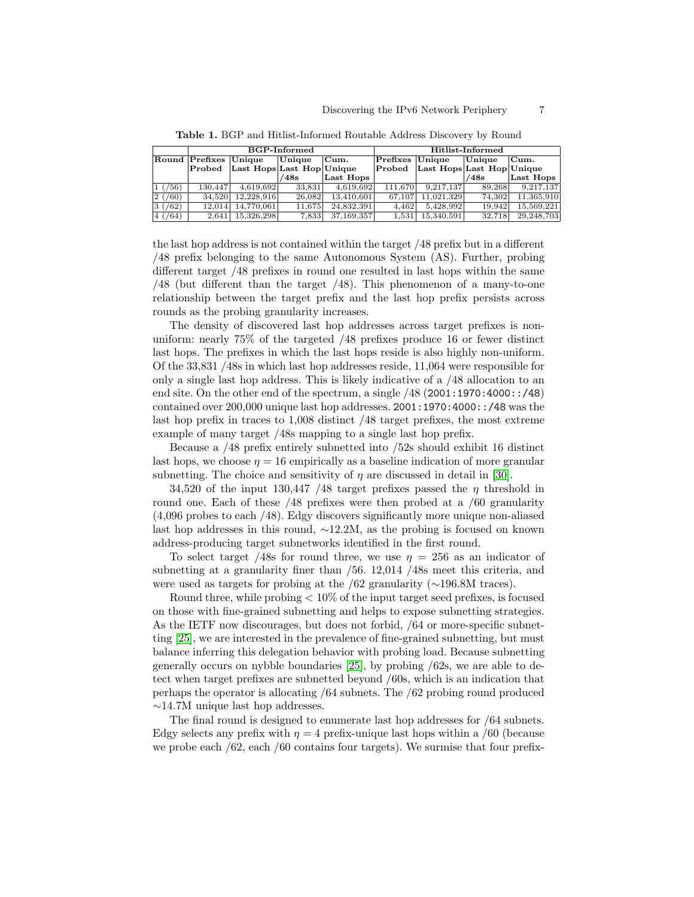<span id="page-6-0"></span>

|                        |                       | <b>BGP-Informed</b>       |        |            |                  | Hitlist-Informed          |        |            |  |
|------------------------|-----------------------|---------------------------|--------|------------|------------------|---------------------------|--------|------------|--|
|                        | Round Prefixes Unique |                           | Unique | Cum.       | Prefixes  Unique |                           | Unique | Cum.       |  |
|                        | Probed                | Last Hops Last Hop Unique |        |            | $\rm \bf Probed$ | Last Hops Last Hop Unique |        |            |  |
|                        |                       |                           | 48s    | Last Hops  |                  |                           | /48s   | Last Hops  |  |
| $\sqrt{56}$            | 130.447               | 4.619.692                 | 33.831 | 4.619.692  | 111.670          | 9.217.137                 | 89.268 | 9.217.137  |  |
| (60)<br>2 <sub>1</sub> | 34.520                | 12.228.916                | 26.082 | 13.410.601 | 67.107           | 11.021.329                | 74.302 | 11.365.910 |  |
| 3/(62)                 | 12.014                | 14,770,061                | 11.675 | 24.832.391 | 4.462            | 5.428.992                 | 19.942 | 15.569.221 |  |
| $4 \frac{(64)}{4}$     | 2.641                 | 15.326.298                | 7.833  | 37,169,357 | 1.531            | 15.340.591                | 32.718 | 29,248,703 |  |

Table 1. BGP and Hitlist-Informed Routable Address Discovery by Round

the last hop address is not contained within the target /48 prefix but in a different /48 prefix belonging to the same Autonomous System (AS). Further, probing different target /48 prefixes in round one resulted in last hops within the same /48 (but different than the target /48). This phenomenon of a many-to-one relationship between the target prefix and the last hop prefix persists across rounds as the probing granularity increases.

The density of discovered last hop addresses across target prefixes is nonuniform: nearly 75% of the targeted /48 prefixes produce 16 or fewer distinct last hops. The prefixes in which the last hops reside is also highly non-uniform. Of the 33,831 /48s in which last hop addresses reside, 11,064 were responsible for only a single last hop address. This is likely indicative of a /48 allocation to an end site. On the other end of the spectrum, a single /48 (2001:1970:4000::/48) contained over 200,000 unique last hop addresses. 2001:1970:4000::/48 was the last hop prefix in traces to 1,008 distinct /48 target prefixes, the most extreme example of many target /48s mapping to a single last hop prefix.

Because a /48 prefix entirely subnetted into /52s should exhibit 16 distinct last hops, we choose  $\eta = 16$  empirically as a baseline indication of more granular subnetting. The choice and sensitivity of  $\eta$  are discussed in detail in [\[30\]](#page-14-13).

34,520 of the input 130,447 /48 target prefixes passed the  $\eta$  threshold in round one. Each of these /48 prefixes were then probed at a /60 granularity (4,096 probes to each /48). Edgy discovers significantly more unique non-aliased last hop addresses in this round, ∼12.2M, as the probing is focused on known address-producing target subnetworks identified in the first round.

To select target /48s for round three, we use  $\eta = 256$  as an indicator of subnetting at a granularity finer than /56. 12,014 /48s meet this criteria, and were used as targets for probing at the /62 granularity (∼196.8M traces).

Round three, while probing  $\lt 10\%$  of the input target seed prefixes, is focused on those with fine-grained subnetting and helps to expose subnetting strategies. As the IETF now discourages, but does not forbid, /64 or more-specific subnetting [\[25\]](#page-14-15), we are interested in the prevalence of fine-grained subnetting, but must balance inferring this delegation behavior with probing load. Because subnetting generally occurs on nybble boundaries [\[25\]](#page-14-15), by probing /62s, we are able to detect when target prefixes are subnetted beyond /60s, which is an indication that perhaps the operator is allocating /64 subnets. The /62 probing round produced ∼14.7M unique last hop addresses.

The final round is designed to enumerate last hop addresses for /64 subnets. Edgy selects any prefix with  $\eta = 4$  prefix-unique last hops within a /60 (because we probe each /62, each /60 contains four targets). We surmise that four prefix-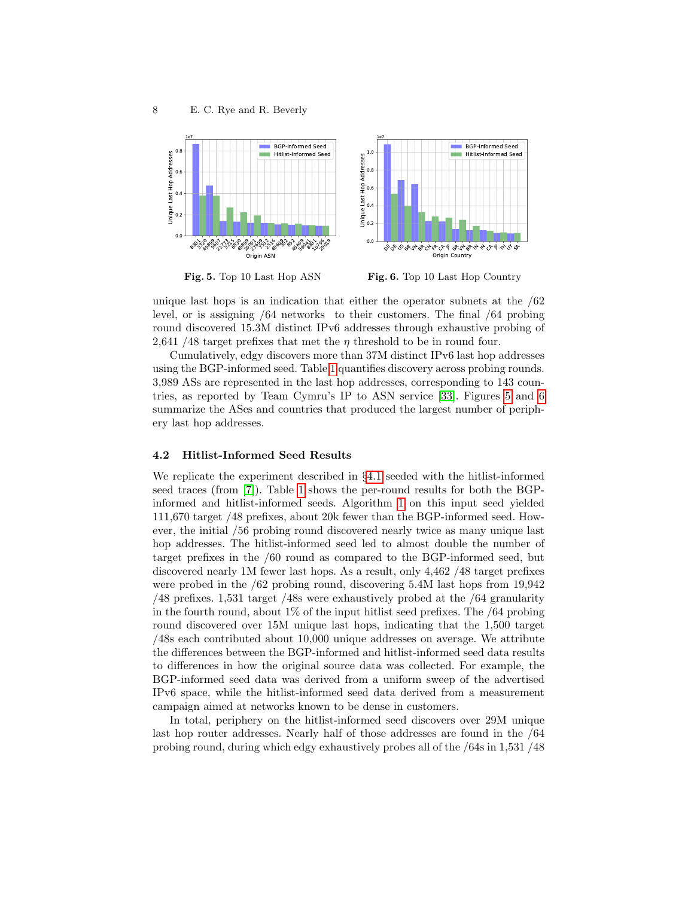

<span id="page-7-0"></span>Fig. 5. Top 10 Last Hop ASN

<span id="page-7-1"></span>Fig. 6. Top 10 Last Hop Country

unique last hops is an indication that either the operator subnets at the  $/62$ level, or is assigning /64 networks to their customers. The final /64 probing round discovered 15.3M distinct IPv6 addresses through exhaustive probing of 2,641 /48 target prefixes that met the  $\eta$  threshold to be in round four.

Cumulatively, edgy discovers more than 37M distinct IPv6 last hop addresses using the BGP-informed seed. Table [1](#page-6-0) quantifies discovery across probing rounds. 3,989 ASs are represented in the last hop addresses, corresponding to 143 countries, as reported by Team Cymru's IP to ASN service [\[33\]](#page-14-16). Figures [5](#page-7-0) and [6](#page-7-1) summarize the ASes and countries that produced the largest number of periphery last hop addresses.

### 4.2 Hitlist-Informed Seed Results

We replicate the experiment described in §[4.1](#page-5-0) seeded with the hitlist-informed seed traces (from [\[7\]](#page-13-0)). Table [1](#page-6-0) shows the per-round results for both the BGPinformed and hitlist-informed seeds. Algorithm [1](#page-15-1) on this input seed yielded 111,670 target /48 prefixes, about 20k fewer than the BGP-informed seed. However, the initial /56 probing round discovered nearly twice as many unique last hop addresses. The hitlist-informed seed led to almost double the number of target prefixes in the /60 round as compared to the BGP-informed seed, but discovered nearly 1M fewer last hops. As a result, only 4,462 /48 target prefixes were probed in the /62 probing round, discovering 5.4M last hops from 19,942 /48 prefixes. 1,531 target /48s were exhaustively probed at the /64 granularity in the fourth round, about 1% of the input hitlist seed prefixes. The /64 probing round discovered over 15M unique last hops, indicating that the 1,500 target /48s each contributed about 10,000 unique addresses on average. We attribute the differences between the BGP-informed and hitlist-informed seed data results to differences in how the original source data was collected. For example, the BGP-informed seed data was derived from a uniform sweep of the advertised IPv6 space, while the hitlist-informed seed data derived from a measurement campaign aimed at networks known to be dense in customers.

In total, periphery on the hitlist-informed seed discovers over 29M unique last hop router addresses. Nearly half of those addresses are found in the /64 probing round, during which edgy exhaustively probes all of the /64s in 1,531 /48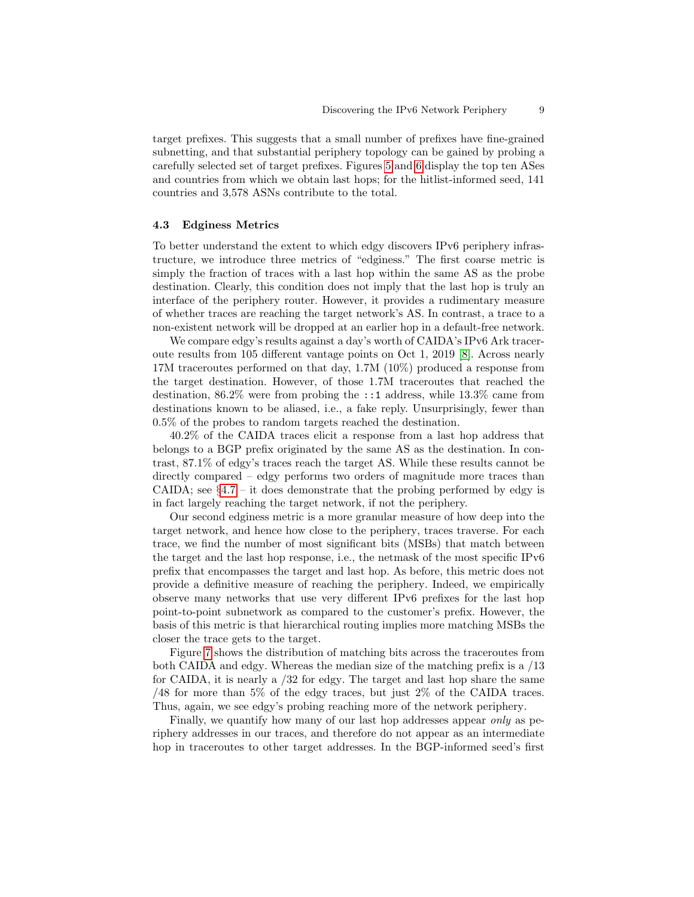target prefixes. This suggests that a small number of prefixes have fine-grained subnetting, and that substantial periphery topology can be gained by probing a carefully selected set of target prefixes. Figures [5](#page-7-0) and [6](#page-7-1) display the top ten ASes and countries from which we obtain last hops; for the hitlist-informed seed, 141 countries and 3,578 ASNs contribute to the total.

#### <span id="page-8-0"></span>4.3 Edginess Metrics

To better understand the extent to which edgy discovers IPv6 periphery infrastructure, we introduce three metrics of "edginess." The first coarse metric is simply the fraction of traces with a last hop within the same AS as the probe destination. Clearly, this condition does not imply that the last hop is truly an interface of the periphery router. However, it provides a rudimentary measure of whether traces are reaching the target network's AS. In contrast, a trace to a non-existent network will be dropped at an earlier hop in a default-free network.

We compare edgy's results against a day's worth of CAIDA's IPv6 Ark traceroute results from 105 different vantage points on Oct 1, 2019 [\[8\]](#page-13-7). Across nearly 17M traceroutes performed on that day, 1.7M (10%) produced a response from the target destination. However, of those 1.7M traceroutes that reached the destination, 86.2% were from probing the ::1 address, while 13.3% came from destinations known to be aliased, i.e., a fake reply. Unsurprisingly, fewer than 0.5% of the probes to random targets reached the destination.

40.2% of the CAIDA traces elicit a response from a last hop address that belongs to a BGP prefix originated by the same AS as the destination. In contrast, 87.1% of edgy's traces reach the target AS. While these results cannot be directly compared – edgy performs two orders of magnitude more traces than CAIDA; see  $\S 4.7 - i t$  $\S 4.7 - i t$  $\S 4.7 - i t$  does demonstrate that the probing performed by edgy is in fact largely reaching the target network, if not the periphery.

Our second edginess metric is a more granular measure of how deep into the target network, and hence how close to the periphery, traces traverse. For each trace, we find the number of most significant bits (MSBs) that match between the target and the last hop response, i.e., the netmask of the most specific IPv6 prefix that encompasses the target and last hop. As before, this metric does not provide a definitive measure of reaching the periphery. Indeed, we empirically observe many networks that use very different IPv6 prefixes for the last hop point-to-point subnetwork as compared to the customer's prefix. However, the basis of this metric is that hierarchical routing implies more matching MSBs the closer the trace gets to the target.

Figure [7](#page-9-0) shows the distribution of matching bits across the traceroutes from both CAIDA and edgy. Whereas the median size of the matching prefix is a /13 for CAIDA, it is nearly a /32 for edgy. The target and last hop share the same /48 for more than 5% of the edgy traces, but just 2% of the CAIDA traces. Thus, again, we see edgy's probing reaching more of the network periphery.

Finally, we quantify how many of our last hop addresses appear only as periphery addresses in our traces, and therefore do not appear as an intermediate hop in traceroutes to other target addresses. In the BGP-informed seed's first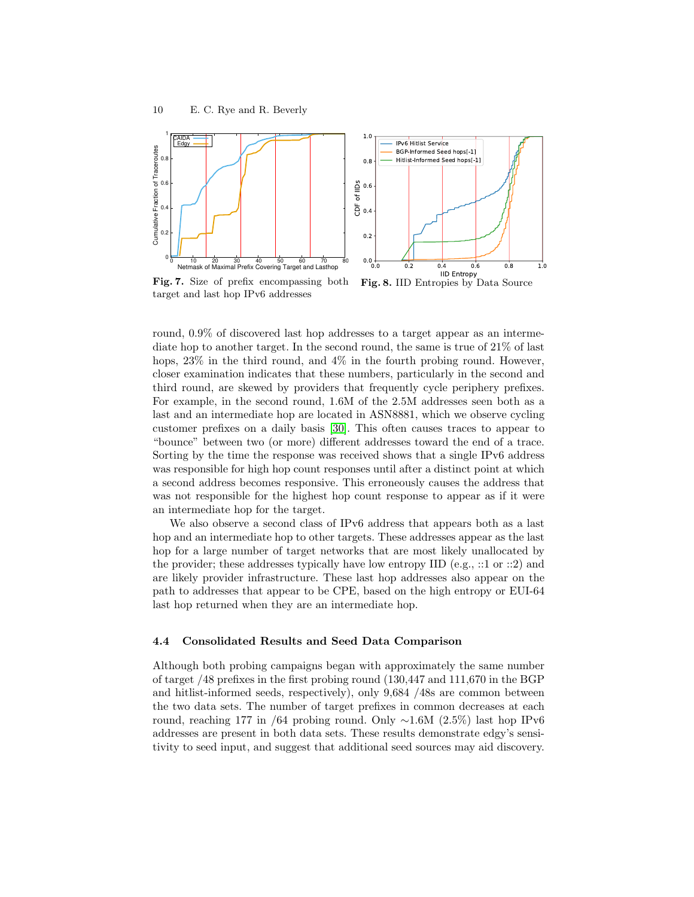

<span id="page-9-0"></span>Fig. 7. Size of prefix encompassing both target and last hop IPv6 addresses

<span id="page-9-1"></span>Fig. 8. IID Entropies by Data Source

round, 0.9% of discovered last hop addresses to a target appear as an intermediate hop to another target. In the second round, the same is true of 21% of last hops,  $23\%$  in the third round, and  $4\%$  in the fourth probing round. However, closer examination indicates that these numbers, particularly in the second and third round, are skewed by providers that frequently cycle periphery prefixes. For example, in the second round, 1.6M of the 2.5M addresses seen both as a last and an intermediate hop are located in ASN8881, which we observe cycling customer prefixes on a daily basis [\[30\]](#page-14-13). This often causes traces to appear to "bounce" between two (or more) different addresses toward the end of a trace. Sorting by the time the response was received shows that a single IPv6 address was responsible for high hop count responses until after a distinct point at which a second address becomes responsive. This erroneously causes the address that was not responsible for the highest hop count response to appear as if it were an intermediate hop for the target.

We also observe a second class of IPv6 address that appears both as a last hop and an intermediate hop to other targets. These addresses appear as the last hop for a large number of target networks that are most likely unallocated by the provider; these addresses typically have low entropy IID (e.g., ::1 or ::2) and are likely provider infrastructure. These last hop addresses also appear on the path to addresses that appear to be CPE, based on the high entropy or EUI-64 last hop returned when they are an intermediate hop.

#### <span id="page-9-2"></span>4.4 Consolidated Results and Seed Data Comparison

Although both probing campaigns began with approximately the same number of target /48 prefixes in the first probing round (130,447 and 111,670 in the BGP and hitlist-informed seeds, respectively), only 9,684 /48s are common between the two data sets. The number of target prefixes in common decreases at each round, reaching 177 in /64 probing round. Only ∼1.6M (2.5%) last hop IPv6 addresses are present in both data sets. These results demonstrate edgy's sensitivity to seed input, and suggest that additional seed sources may aid discovery.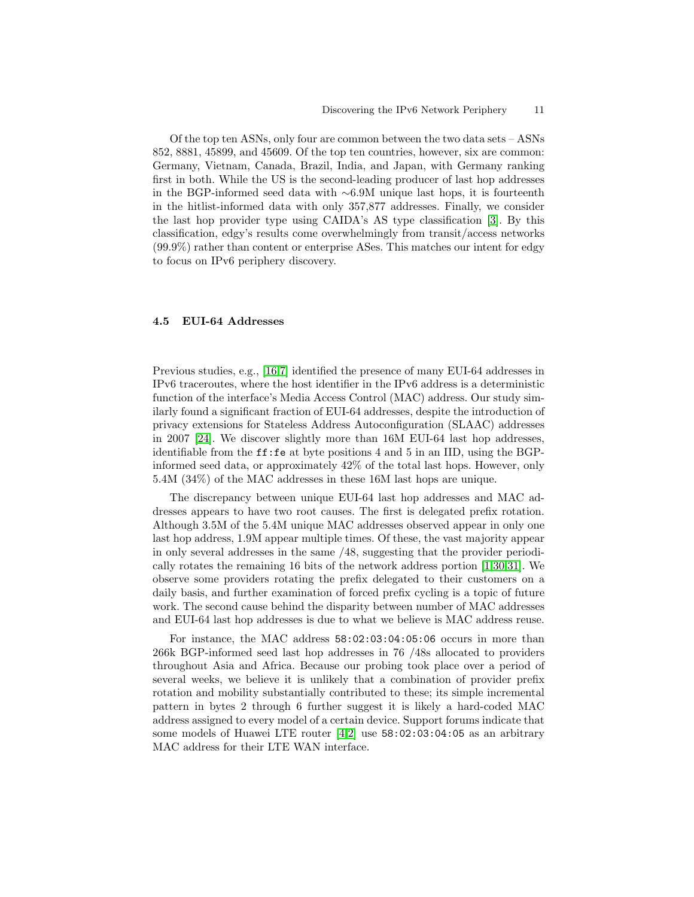Of the top ten ASNs, only four are common between the two data sets – ASNs 852, 8881, 45899, and 45609. Of the top ten countries, however, six are common: Germany, Vietnam, Canada, Brazil, India, and Japan, with Germany ranking first in both. While the US is the second-leading producer of last hop addresses in the BGP-informed seed data with ∼6.9M unique last hops, it is fourteenth in the hitlist-informed data with only 357,877 addresses. Finally, we consider the last hop provider type using CAIDA's AS type classification [\[3\]](#page-13-11). By this classification, edgy's results come overwhelmingly from transit/access networks (99.9%) rather than content or enterprise ASes. This matches our intent for edgy to focus on IPv6 periphery discovery.

#### <span id="page-10-0"></span>4.5 EUI-64 Addresses

Previous studies, e.g., [\[16](#page-14-9)[,7\]](#page-13-0) identified the presence of many EUI-64 addresses in IPv6 traceroutes, where the host identifier in the IPv6 address is a deterministic function of the interface's Media Access Control (MAC) address. Our study similarly found a significant fraction of EUI-64 addresses, despite the introduction of privacy extensions for Stateless Address Autoconfiguration (SLAAC) addresses in 2007 [\[24\]](#page-14-17). We discover slightly more than 16M EUI-64 last hop addresses, identifiable from the  $\texttt{ff:fe}$  at byte positions 4 and 5 in an IID, using the BGPinformed seed data, or approximately 42% of the total last hops. However, only 5.4M (34%) of the MAC addresses in these 16M last hops are unique.

The discrepancy between unique EUI-64 last hop addresses and MAC addresses appears to have two root causes. The first is delegated prefix rotation. Although 3.5M of the 5.4M unique MAC addresses observed appear in only one last hop address, 1.9M appear multiple times. Of these, the vast majority appear in only several addresses in the same /48, suggesting that the provider periodically rotates the remaining 16 bits of the network address portion [\[1](#page-13-12)[,30,](#page-14-13)[31\]](#page-14-6). We observe some providers rotating the prefix delegated to their customers on a daily basis, and further examination of forced prefix cycling is a topic of future work. The second cause behind the disparity between number of MAC addresses and EUI-64 last hop addresses is due to what we believe is MAC address reuse.

For instance, the MAC address 58:02:03:04:05:06 occurs in more than 266k BGP-informed seed last hop addresses in 76 /48s allocated to providers throughout Asia and Africa. Because our probing took place over a period of several weeks, we believe it is unlikely that a combination of provider prefix rotation and mobility substantially contributed to these; its simple incremental pattern in bytes 2 through 6 further suggest it is likely a hard-coded MAC address assigned to every model of a certain device. Support forums indicate that some models of Huawei LTE router [\[4](#page-13-13)[,2\]](#page-13-14) use 58:02:03:04:05 as an arbitrary MAC address for their LTE WAN interface.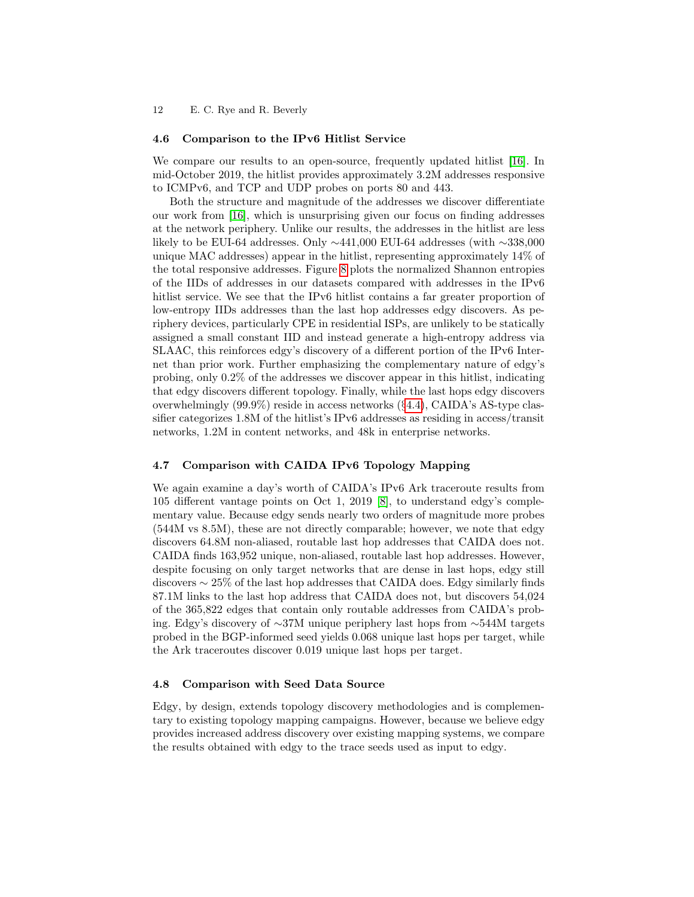#### 4.6 Comparison to the IPv6 Hitlist Service

We compare our results to an open-source, frequently updated hitlist [\[16\]](#page-14-9). In mid-October 2019, the hitlist provides approximately 3.2M addresses responsive to ICMPv6, and TCP and UDP probes on ports 80 and 443.

Both the structure and magnitude of the addresses we discover differentiate our work from [\[16\]](#page-14-9), which is unsurprising given our focus on finding addresses at the network periphery. Unlike our results, the addresses in the hitlist are less likely to be EUI-64 addresses. Only ∼441,000 EUI-64 addresses (with ∼338,000 unique MAC addresses) appear in the hitlist, representing approximately 14% of the total responsive addresses. Figure [8](#page-9-1) plots the normalized Shannon entropies of the IIDs of addresses in our datasets compared with addresses in the IPv6 hitlist service. We see that the IPv6 hitlist contains a far greater proportion of low-entropy IIDs addresses than the last hop addresses edgy discovers. As periphery devices, particularly CPE in residential ISPs, are unlikely to be statically assigned a small constant IID and instead generate a high-entropy address via SLAAC, this reinforces edgy's discovery of a different portion of the IPv6 Internet than prior work. Further emphasizing the complementary nature of edgy's probing, only 0.2% of the addresses we discover appear in this hitlist, indicating that edgy discovers different topology. Finally, while the last hops edgy discovers overwhelmingly (99.9%) reside in access networks (§[4.4\)](#page-9-2), CAIDA's AS-type classifier categorizes 1.8M of the hitlist's IPv6 addresses as residing in access/transit networks, 1.2M in content networks, and 48k in enterprise networks.

#### <span id="page-11-0"></span>4.7 Comparison with CAIDA IPv6 Topology Mapping

We again examine a day's worth of CAIDA's IPv6 Ark traceroute results from 105 different vantage points on Oct 1, 2019 [\[8\]](#page-13-7), to understand edgy's complementary value. Because edgy sends nearly two orders of magnitude more probes (544M vs 8.5M), these are not directly comparable; however, we note that edgy discovers 64.8M non-aliased, routable last hop addresses that CAIDA does not. CAIDA finds 163,952 unique, non-aliased, routable last hop addresses. However, despite focusing on only target networks that are dense in last hops, edgy still discovers ∼ 25% of the last hop addresses that CAIDA does. Edgy similarly finds 87.1M links to the last hop address that CAIDA does not, but discovers 54,024 of the 365,822 edges that contain only routable addresses from CAIDA's probing. Edgy's discovery of ∼37M unique periphery last hops from ∼544M targets probed in the BGP-informed seed yields 0.068 unique last hops per target, while the Ark traceroutes discover 0.019 unique last hops per target.

#### 4.8 Comparison with Seed Data Source

Edgy, by design, extends topology discovery methodologies and is complementary to existing topology mapping campaigns. However, because we believe edgy provides increased address discovery over existing mapping systems, we compare the results obtained with edgy to the trace seeds used as input to edgy.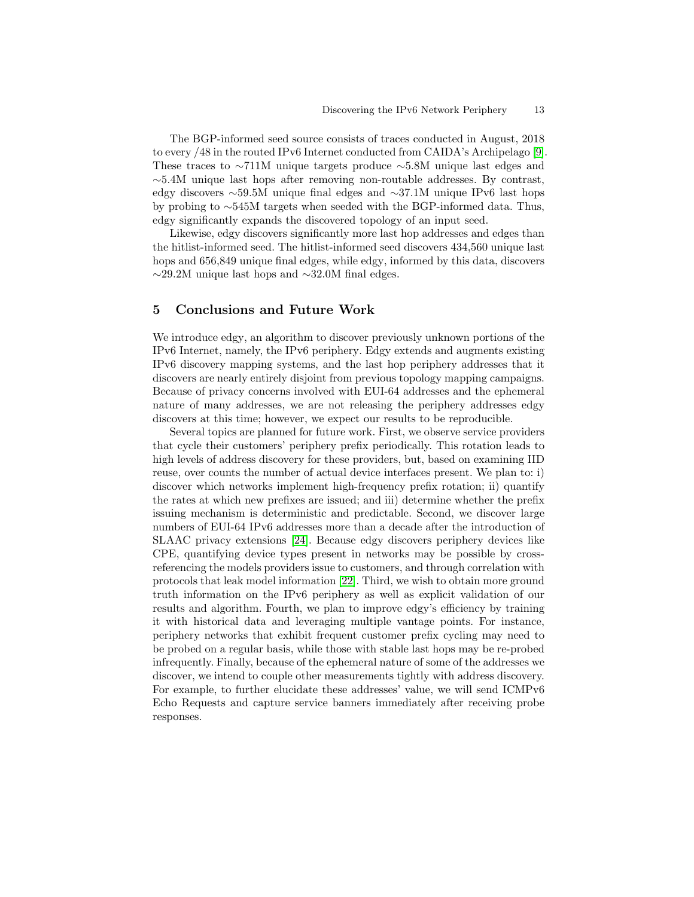The BGP-informed seed source consists of traces conducted in August, 2018 to every /48 in the routed IPv6 Internet conducted from CAIDA's Archipelago [\[9\]](#page-13-8). These traces to ∼711M unique targets produce ∼5.8M unique last edges and  $\sim$ 5.4M unique last hops after removing non-routable addresses. By contrast, edgy discovers ∼59.5M unique final edges and ∼37.1M unique IPv6 last hops by probing to ∼545M targets when seeded with the BGP-informed data. Thus, edgy significantly expands the discovered topology of an input seed.

Likewise, edgy discovers significantly more last hop addresses and edges than the hitlist-informed seed. The hitlist-informed seed discovers 434,560 unique last hops and 656,849 unique final edges, while edgy, informed by this data, discovers ∼29.2M unique last hops and ∼32.0M final edges.

## 5 Conclusions and Future Work

We introduce edgy, an algorithm to discover previously unknown portions of the IPv6 Internet, namely, the IPv6 periphery. Edgy extends and augments existing IPv6 discovery mapping systems, and the last hop periphery addresses that it discovers are nearly entirely disjoint from previous topology mapping campaigns. Because of privacy concerns involved with EUI-64 addresses and the ephemeral nature of many addresses, we are not releasing the periphery addresses edgy discovers at this time; however, we expect our results to be reproducible.

Several topics are planned for future work. First, we observe service providers that cycle their customers' periphery prefix periodically. This rotation leads to high levels of address discovery for these providers, but, based on examining IID reuse, over counts the number of actual device interfaces present. We plan to: i) discover which networks implement high-frequency prefix rotation; ii) quantify the rates at which new prefixes are issued; and iii) determine whether the prefix issuing mechanism is deterministic and predictable. Second, we discover large numbers of EUI-64 IPv6 addresses more than a decade after the introduction of SLAAC privacy extensions [\[24\]](#page-14-17). Because edgy discovers periphery devices like CPE, quantifying device types present in networks may be possible by crossreferencing the models providers issue to customers, and through correlation with protocols that leak model information [\[22\]](#page-14-18). Third, we wish to obtain more ground truth information on the IPv6 periphery as well as explicit validation of our results and algorithm. Fourth, we plan to improve edgy's efficiency by training it with historical data and leveraging multiple vantage points. For instance, periphery networks that exhibit frequent customer prefix cycling may need to be probed on a regular basis, while those with stable last hops may be re-probed infrequently. Finally, because of the ephemeral nature of some of the addresses we discover, we intend to couple other measurements tightly with address discovery. For example, to further elucidate these addresses' value, we will send ICMPv6 Echo Requests and capture service banners immediately after receiving probe responses.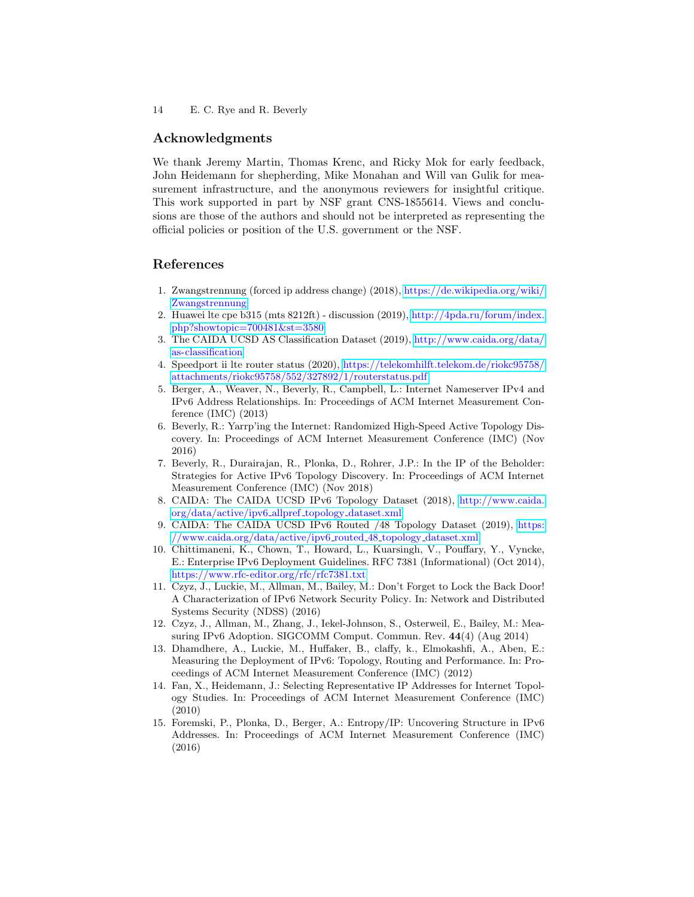## Acknowledgments

We thank Jeremy Martin, Thomas Krenc, and Ricky Mok for early feedback, John Heidemann for shepherding, Mike Monahan and Will van Gulik for measurement infrastructure, and the anonymous reviewers for insightful critique. This work supported in part by NSF grant CNS-1855614. Views and conclusions are those of the authors and should not be interpreted as representing the official policies or position of the U.S. government or the NSF.

## References

- <span id="page-13-12"></span>1. Zwangstrennung (forced ip address change) (2018), [https://de.wikipedia.org/wiki/](https://de.wikipedia.org/wiki/Zwangstrennung) [Zwangstrennung](https://de.wikipedia.org/wiki/Zwangstrennung)
- <span id="page-13-14"></span>2. Huawei lte cpe b315 (mts 8212ft) - discussion (2019), [http://4pda.ru/forum/index.](http://4pda.ru/forum/index.php?showtopic=700481&st=3580) [php?showtopic=700481&st=3580](http://4pda.ru/forum/index.php?showtopic=700481&st=3580)
- <span id="page-13-11"></span>3. The CAIDA UCSD AS Classification Dataset (2019), [http://www.caida.org/data/](http://www.caida.org/data/as-classification) [as-classification](http://www.caida.org/data/as-classification)
- <span id="page-13-13"></span>4. Speedport ii lte router status (2020), [https://telekomhilft.telekom.de/riokc95758/](https://telekomhilft.telekom.de/riokc95758/attachments/riokc95758/552/327892/1/routerstatus.pdf) [attachments/riokc95758/552/327892/1/routerstatus.pdf](https://telekomhilft.telekom.de/riokc95758/attachments/riokc95758/552/327892/1/routerstatus.pdf)
- <span id="page-13-4"></span>5. Berger, A., Weaver, N., Beverly, R., Campbell, L.: Internet Nameserver IPv4 and IPv6 Address Relationships. In: Proceedings of ACM Internet Measurement Conference (IMC) (2013)
- <span id="page-13-10"></span>6. Beverly, R.: Yarrp'ing the Internet: Randomized High-Speed Active Topology Discovery. In: Proceedings of ACM Internet Measurement Conference (IMC) (Nov 2016)
- <span id="page-13-0"></span>7. Beverly, R., Durairajan, R., Plonka, D., Rohrer, J.P.: In the IP of the Beholder: Strategies for Active IPv6 Topology Discovery. In: Proceedings of ACM Internet Measurement Conference (IMC) (Nov 2018)
- <span id="page-13-7"></span>8. CAIDA: The CAIDA UCSD IPv6 Topology Dataset (2018), [http://www.caida.](http://www.caida.org/data/active/ipv6_allpref_topology_dataset.xml) [org/data/active/ipv6](http://www.caida.org/data/active/ipv6_allpref_topology_dataset.xml) allpref topology dataset.xml
- <span id="page-13-8"></span>9. CAIDA: The CAIDA UCSD IPv6 Routed /48 Topology Dataset (2019), [https:](https://www.caida.org/data/active/ipv6_routed_48_topology_dataset.xml) /www.caida.org/data/active/ipv6\_routed\_48\_topology\_dataset.xml
- <span id="page-13-9"></span>10. Chittimaneni, K., Chown, T., Howard, L., Kuarsingh, V., Pouffary, Y., Vyncke, E.: Enterprise IPv6 Deployment Guidelines. RFC 7381 (Informational) (Oct 2014), <https://www.rfc-editor.org/rfc/rfc7381.txt>
- <span id="page-13-5"></span>11. Czyz, J., Luckie, M., Allman, M., Bailey, M.: Don't Forget to Lock the Back Door! A Characterization of IPv6 Network Security Policy. In: Network and Distributed Systems Security (NDSS) (2016)
- <span id="page-13-1"></span>12. Czyz, J., Allman, M., Zhang, J., Iekel-Johnson, S., Osterweil, E., Bailey, M.: Measuring IPv6 Adoption. SIGCOMM Comput. Commun. Rev. 44(4) (Aug 2014)
- <span id="page-13-3"></span>13. Dhamdhere, A., Luckie, M., Huffaker, B., claffy, k., Elmokashfi, A., Aben, E.: Measuring the Deployment of IPv6: Topology, Routing and Performance. In: Proceedings of ACM Internet Measurement Conference (IMC) (2012)
- <span id="page-13-6"></span>14. Fan, X., Heidemann, J.: Selecting Representative IP Addresses for Internet Topology Studies. In: Proceedings of ACM Internet Measurement Conference (IMC) (2010)
- <span id="page-13-2"></span>15. Foremski, P., Plonka, D., Berger, A.: Entropy/IP: Uncovering Structure in IPv6 Addresses. In: Proceedings of ACM Internet Measurement Conference (IMC) (2016)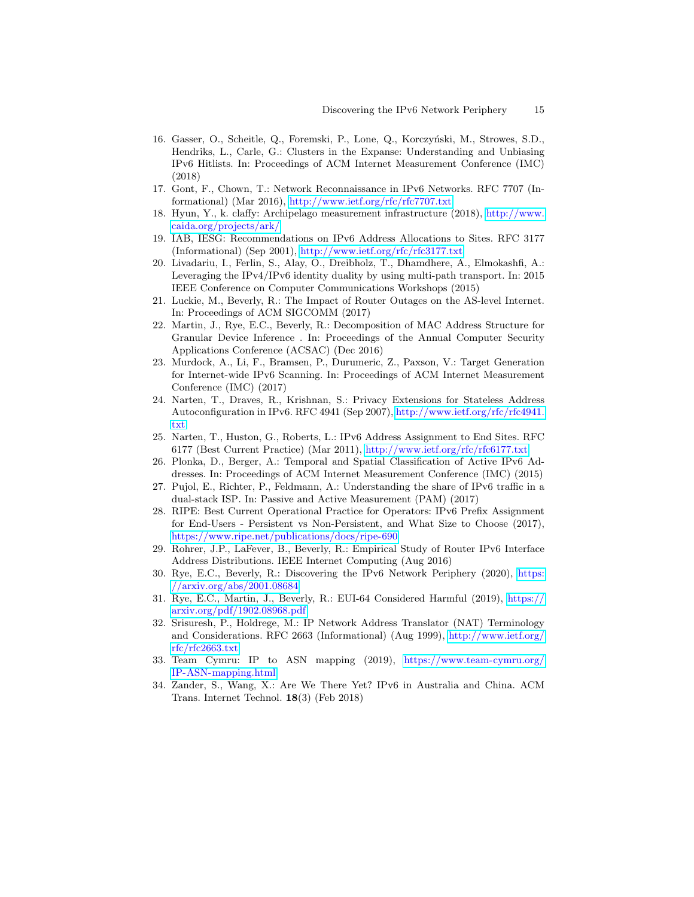- <span id="page-14-9"></span>16. Gasser, O., Scheitle, Q., Foremski, P., Lone, Q., Korczyński, M., Strowes, S.D., Hendriks, L., Carle, G.: Clusters in the Expanse: Understanding and Unbiasing IPv6 Hitlists. In: Proceedings of ACM Internet Measurement Conference (IMC) (2018)
- <span id="page-14-8"></span>17. Gont, F., Chown, T.: Network Reconnaissance in IPv6 Networks. RFC 7707 (Informational) (Mar 2016), <http://www.ietf.org/rfc/rfc7707.txt>
- <span id="page-14-11"></span>18. Hyun, Y., k. claffy: Archipelago measurement infrastructure (2018), [http://www.](http://www.caida.org/projects/ark/) [caida.org/projects/ark/](http://www.caida.org/projects/ark/)
- <span id="page-14-14"></span>19. IAB, IESG: Recommendations on IPv6 Address Allocations to Sites. RFC 3177 (Informational) (Sep 2001), <http://www.ietf.org/rfc/rfc3177.txt>
- <span id="page-14-5"></span>20. Livadariu, I., Ferlin, S., Alay, O., Dreibholz, T., Dhamdhere, A., Elmokashfi, A.: ¨ Leveraging the IPv4/IPv6 identity duality by using multi-path transport. In: 2015 IEEE Conference on Computer Communications Workshops (2015)
- <span id="page-14-3"></span>21. Luckie, M., Beverly, R.: The Impact of Router Outages on the AS-level Internet. In: Proceedings of ACM SIGCOMM (2017)
- <span id="page-14-18"></span>22. Martin, J., Rye, E.C., Beverly, R.: Decomposition of MAC Address Structure for Granular Device Inference . In: Proceedings of the Annual Computer Security Applications Conference (ACSAC) (Dec 2016)
- <span id="page-14-7"></span>23. Murdock, A., Li, F., Bramsen, P., Durumeric, Z., Paxson, V.: Target Generation for Internet-wide IPv6 Scanning. In: Proceedings of ACM Internet Measurement Conference (IMC) (2017)
- <span id="page-14-17"></span>24. Narten, T., Draves, R., Krishnan, S.: Privacy Extensions for Stateless Address Autoconfiguration in IPv6. RFC 4941 (Sep 2007), [http://www.ietf.org/rfc/rfc4941.](http://www.ietf.org/rfc/rfc4941.txt) [txt](http://www.ietf.org/rfc/rfc4941.txt)
- <span id="page-14-15"></span>25. Narten, T., Huston, G., Roberts, L.: IPv6 Address Assignment to End Sites. RFC 6177 (Best Current Practice) (Mar 2011), <http://www.ietf.org/rfc/rfc6177.txt>
- <span id="page-14-2"></span>26. Plonka, D., Berger, A.: Temporal and Spatial Classification of Active IPv6 Addresses. In: Proceedings of ACM Internet Measurement Conference (IMC) (2015)
- <span id="page-14-1"></span>27. Pujol, E., Richter, P., Feldmann, A.: Understanding the share of IPv6 traffic in a dual-stack ISP. In: Passive and Active Measurement (PAM) (2017)
- <span id="page-14-12"></span>28. RIPE: Best Current Operational Practice for Operators: IPv6 Prefix Assignment for End-Users - Persistent vs Non-Persistent, and What Size to Choose (2017), <https://www.ripe.net/publications/docs/ripe-690>
- <span id="page-14-4"></span>29. Rohrer, J.P., LaFever, B., Beverly, R.: Empirical Study of Router IPv6 Interface Address Distributions. IEEE Internet Computing (Aug 2016)
- <span id="page-14-13"></span>30. Rye, E.C., Beverly, R.: Discovering the IPv6 Network Periphery (2020), [https:](https://arxiv.org/abs/2001.08684) [//arxiv.org/abs/2001.08684](https://arxiv.org/abs/2001.08684)
- <span id="page-14-6"></span>31. Rye, E.C., Martin, J., Beverly, R.: EUI-64 Considered Harmful (2019), [https://](https://arxiv.org/pdf/1902.08968.pdf) [arxiv.org/pdf/1902.08968.pdf](https://arxiv.org/pdf/1902.08968.pdf)
- <span id="page-14-10"></span>32. Srisuresh, P., Holdrege, M.: IP Network Address Translator (NAT) Terminology and Considerations. RFC 2663 (Informational) (Aug 1999), [http://www.ietf.org/](http://www.ietf.org/rfc/rfc2663.txt) [rfc/rfc2663.txt](http://www.ietf.org/rfc/rfc2663.txt)
- <span id="page-14-16"></span>33. Team Cymru: IP to ASN mapping (2019), [https://www.team-cymru.org/](https://www.team-cymru.org/IP-ASN-mapping.html) [IP-ASN-mapping.html](https://www.team-cymru.org/IP-ASN-mapping.html)
- <span id="page-14-0"></span>34. Zander, S., Wang, X.: Are We There Yet? IPv6 in Australia and China. ACM Trans. Internet Technol. 18(3) (Feb 2018)